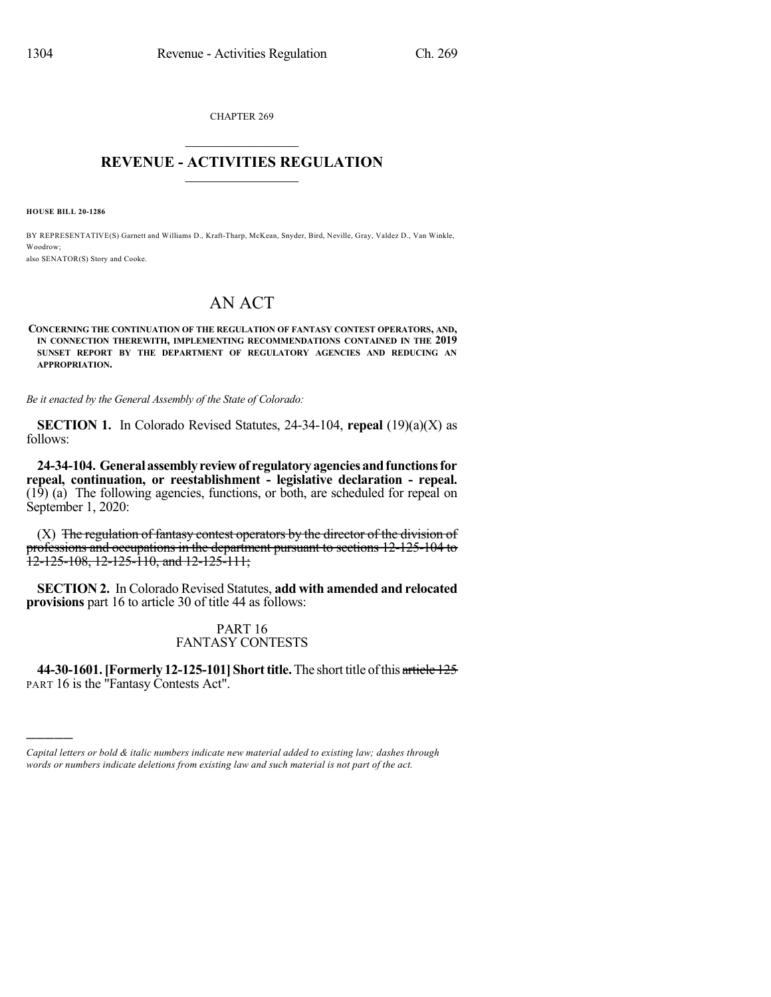CHAPTER 269  $\mathcal{L}_\text{max}$  . The set of the set of the set of the set of the set of the set of the set of the set of the set of the set of the set of the set of the set of the set of the set of the set of the set of the set of the set

## **REVENUE - ACTIVITIES REGULATION**  $\_$   $\_$   $\_$   $\_$   $\_$   $\_$   $\_$   $\_$

**HOUSE BILL 20-1286**

)))))

BY REPRESENTATIVE(S) Garnett and Williams D., Kraft-Tharp, McKean, Snyder, Bird, Neville, Gray, Valdez D., Van Winkle, Woodrow;

also SENATOR(S) Story and Cooke.

## AN ACT

**CONCERNING THE CONTINUATION OF THE REGULATION OF FANTASY CONTEST OPERATORS, AND, IN CONNECTION THEREWITH, IMPLEMENTING RECOMMENDATIONS CONTAINED IN THE 2019 SUNSET REPORT BY THE DEPARTMENT OF REGULATORY AGENCIES AND REDUCING AN APPROPRIATION.**

*Be it enacted by the General Assembly of the State of Colorado:*

**SECTION 1.** In Colorado Revised Statutes, 24-34-104, **repeal** (19)(a)(X) as follows:

**24-34-104. Generalassemblyreviewof regulatoryagenciesandfunctionsfor repeal, continuation, or reestablishment - legislative declaration - repeal.** (19) (a) The following agencies, functions, or both, are scheduled for repeal on September 1, 2020:

 $(X)$  The regulation of fantasy contest operators by the director of the division of professions and occupations in the department pursuant to sections 12-125-104 to 12-125-108, 12-125-110, and 12-125-111;

**SECTION 2.** In Colorado Revised Statutes, **add with amended and relocated provisions** part 16 to article 30 of title 44 as follows:

> PART 16 FANTASY CONTESTS

**44-30-1601.[Formerly 12-125-101]Shorttitle.**The short title ofthis article 125 PART 16 is the "Fantasy Contests Act".

*Capital letters or bold & italic numbers indicate new material added to existing law; dashes through words or numbers indicate deletions from existing law and such material is not part of the act.*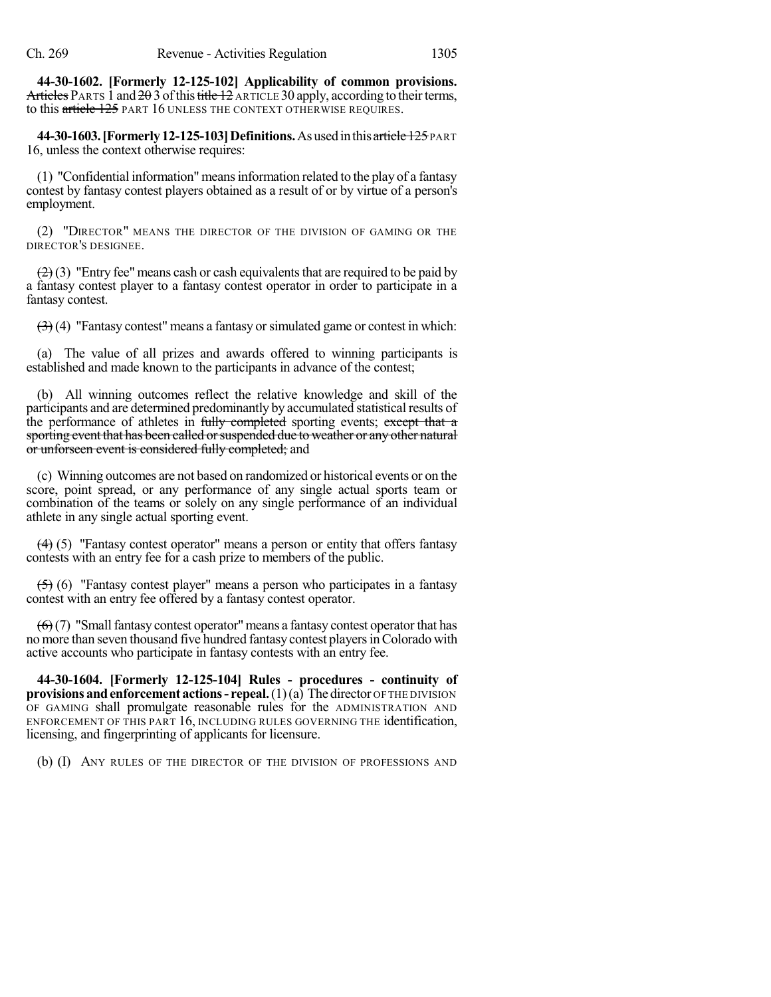**44-30-1602. [Formerly 12-125-102] Applicability of common provisions.** Articles PARTS 1 and  $2\theta$  3 of this title 12 ARTICLE 30 apply, according to their terms, to this article 125 PART 16 UNLESS THE CONTEXT OTHERWISE REQUIRES.

**44-30-1603. [Formerly 12-125-103] Definitions.** As used in this article 125 PART 16, unless the context otherwise requires:

(1) "Confidential information" meansinformation related to the play of a fantasy contest by fantasy contest players obtained as a result of or by virtue of a person's employment.

(2) "DIRECTOR" MEANS THE DIRECTOR OF THE DIVISION OF GAMING OR THE DIRECTOR'S DESIGNEE.

 $(2)$  (3) "Entry fee" means cash or cash equivalents that are required to be paid by a fantasy contest player to a fantasy contest operator in order to participate in a fantasy contest.

 $(3)$  (4) "Fantasy contest" means a fantasy or simulated game or contest in which:

(a) The value of all prizes and awards offered to winning participants is established and made known to the participants in advance of the contest;

(b) All winning outcomes reflect the relative knowledge and skill of the participants and are determined predominantly by accumulated statistical results of the performance of athletes in fully completed sporting events; except that a sporting event that has been called or suspended due to weather or any other natural or unforseen event is considered fully completed; and

(c) Winning outcomes are not based on randomized or historical events or on the score, point spread, or any performance of any single actual sports team or combination of the teams or solely on any single performance of an individual athlete in any single actual sporting event.

 $(4)$  (5) "Fantasy contest operator" means a person or entity that offers fantasy contests with an entry fee for a cash prize to members of the public.

(5) (6) "Fantasy contest player" means a person who participates in a fantasy contest with an entry fee offered by a fantasy contest operator.

 $(6)(7)$  "Small fantasy contest operator" means a fantasy contest operator that has no more than seven thousand five hundred fantasy contest playersinColorado with active accounts who participate in fantasy contests with an entry fee.

**44-30-1604. [Formerly 12-125-104] Rules - procedures - continuity of provisions andenforcement actions- repeal.**(1)(a) The director OF THE DIVISION OF GAMING shall promulgate reasonable rules for the ADMINISTRATION AND ENFORCEMENT OF THIS PART 16, INCLUDING RULES GOVERNING THE identification, licensing, and fingerprinting of applicants for licensure.

(b) (I) ANY RULES OF THE DIRECTOR OF THE DIVISION OF PROFESSIONS AND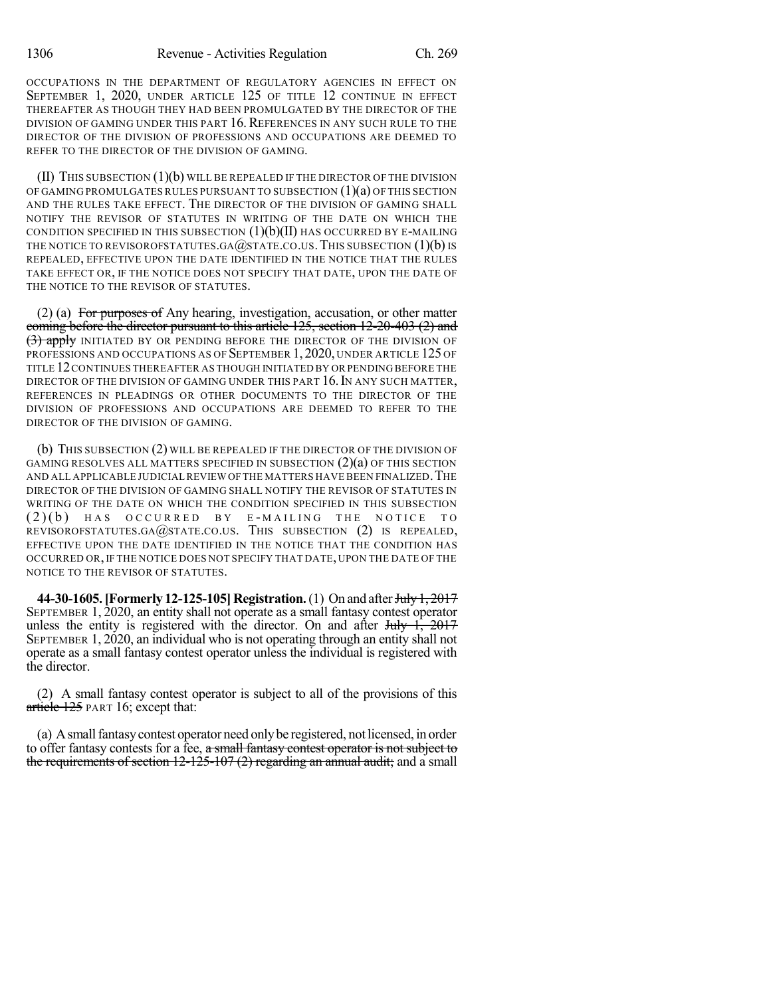OCCUPATIONS IN THE DEPARTMENT OF REGULATORY AGENCIES IN EFFECT ON SEPTEMBER 1, 2020, UNDER ARTICLE 125 OF TITLE 12 CONTINUE IN EFFECT THEREAFTER AS THOUGH THEY HAD BEEN PROMULGATED BY THE DIRECTOR OF THE DIVISION OF GAMING UNDER THIS PART 16. REFERENCES IN ANY SUCH RULE TO THE DIRECTOR OF THE DIVISION OF PROFESSIONS AND OCCUPATIONS ARE DEEMED TO REFER TO THE DIRECTOR OF THE DIVISION OF GAMING.

(II) THIS SUBSECTION (1)(b) WILL BE REPEALED IF THE DIRECTOR OF THE DIVISION OF GAMING PROMULGATES RULES PURSUANT TO SUBSECTION  $(1)(a)$  OF THIS SECTION AND THE RULES TAKE EFFECT. THE DIRECTOR OF THE DIVISION OF GAMING SHALL NOTIFY THE REVISOR OF STATUTES IN WRITING OF THE DATE ON WHICH THE CONDITION SPECIFIED IN THIS SUBSECTION  $(1)(b)(II)$  has occurred by E-Mailing THE NOTICE TO REVISOROFSTATUTES.GA@STATE.CO.US. THIS SUBSECTION  $(1)(b)$  is REPEALED, EFFECTIVE UPON THE DATE IDENTIFIED IN THE NOTICE THAT THE RULES TAKE EFFECT OR, IF THE NOTICE DOES NOT SPECIFY THAT DATE, UPON THE DATE OF THE NOTICE TO THE REVISOR OF STATUTES.

(2) (a) For purposes of Any hearing, investigation, accusation, or other matter coming before the director pursuant to this article 125, section 12-20-403 (2) and (3) apply INITIATED BY OR PENDING BEFORE THE DIRECTOR OF THE DIVISION OF PROFESSIONS AND OCCUPATIONS AS OF SEPTEMBER 1, 2020, UNDER ARTICLE 125 OF TITLE 12CONTINUES THEREAFTER AS THOUGH INITIATED BY OR PENDING BEFORE THE DIRECTOR OF THE DIVISION OF GAMING UNDER THIS PART 16. IN ANY SUCH MATTER, REFERENCES IN PLEADINGS OR OTHER DOCUMENTS TO THE DIRECTOR OF THE DIVISION OF PROFESSIONS AND OCCUPATIONS ARE DEEMED TO REFER TO THE DIRECTOR OF THE DIVISION OF GAMING.

(b) THIS SUBSECTION (2) WILL BE REPEALED IF THE DIRECTOR OF THE DIVISION OF GAMING RESOLVES ALL MATTERS SPECIFIED IN SUBSECTION (2)(a) OF THIS SECTION AND ALL APPLICABLE JUDICIAL REVIEW OF THE MATTERS HAVE BEEN FINALIZED.THE DIRECTOR OF THE DIVISION OF GAMING SHALL NOTIFY THE REVISOR OF STATUTES IN WRITING OF THE DATE ON WHICH THE CONDITION SPECIFIED IN THIS SUBSECTION  $( 2)( \)$  HAS OCCURRED BY E-MAILING THE NOTICE TO REVISOROFSTATUTES.GA@STATE.CO.US. THIS SUBSECTION (2) IS REPEALED, EFFECTIVE UPON THE DATE IDENTIFIED IN THE NOTICE THAT THE CONDITION HAS OCCURRED OR, IF THE NOTICE DOES NOT SPECIFY THAT DATE, UPON THE DATE OF THE NOTICE TO THE REVISOR OF STATUTES.

**44-30-1605. [Formerly 12-125-105] Registration.** (1) On and after July 1, 2017 SEPTEMBER 1, 2020, an entity shall not operate as a small fantasy contest operator unless the entity is registered with the director. On and after  $J_{\text{t}}/J_{\text{t}}$ ,  $2017$ SEPTEMBER 1, 2020, an individual who is not operating through an entity shall not operate as a small fantasy contest operator unless the individual is registered with the director.

(2) A small fantasy contest operator is subject to all of the provisions of this article 125 PART 16; except that:

(a) A small fantasy contest operator need only be registered, not licensed, in order to offer fantasy contests for a fee, a small fantasy contest operator is not subject to the requirements of section 12-125-107 (2) regarding an annual audit; and a small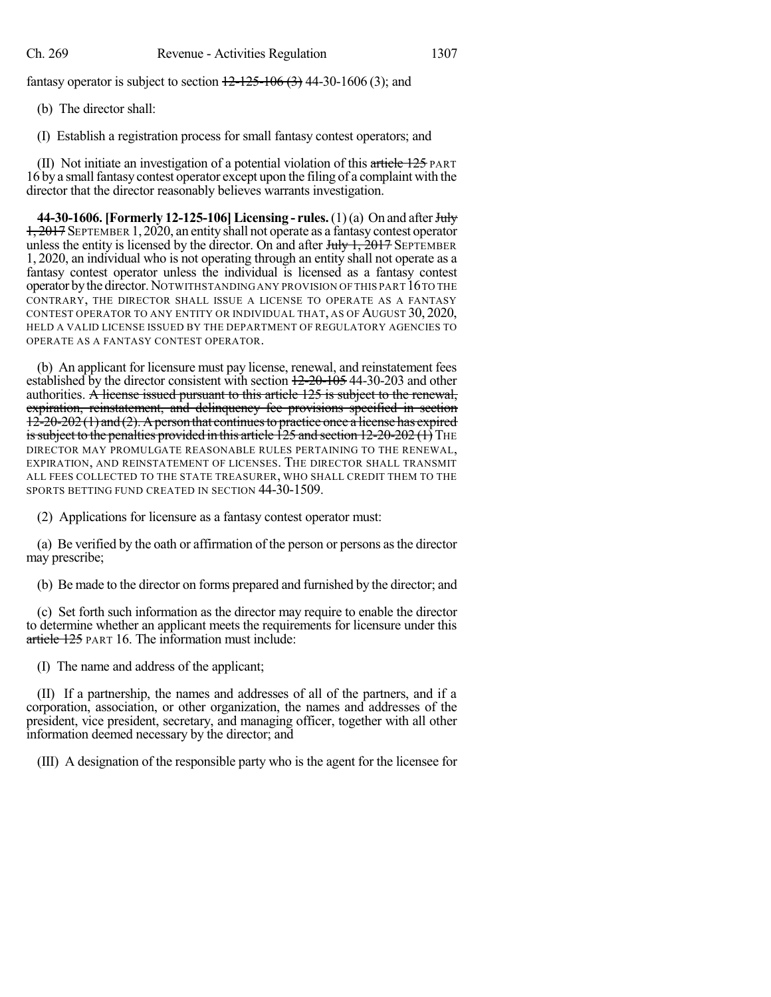fantasy operator is subject to section  $12 - 125 - 106 (3)$  44-30-1606 (3); and

(b) The director shall:

(I) Establish a registration process for small fantasy contest operators; and

(II) Not initiate an investigation of a potential violation of this article  $125$  PART 16 by a small fantasy contest operator except upon the filing of a complaint with the director that the director reasonably believes warrants investigation.

**44-30-1606. [Formerly 12-125-106] Licensing - rules.** (1)(a) On and after July 1, 2017 SEPTEMBER 1,2020, an entity shall not operate as a fantasy contest operator unless the entity is licensed by the director. On and after  $J_{\text{t}}/J_{\text{t}}$ ,  $\frac{2017}{2017}$  SEPTEMBER 1, 2020, an individual who is not operating through an entity shall not operate as a fantasy contest operator unless the individual is licensed as a fantasy contest operator bythe director.NOTWITHSTANDING ANY PROVISION OF THIS PART 16TO THE CONTRARY, THE DIRECTOR SHALL ISSUE A LICENSE TO OPERATE AS A FANTASY CONTEST OPERATOR TO ANY ENTITY OR INDIVIDUAL THAT, AS OF AUGUST 30, 2020, HELD A VALID LICENSE ISSUED BY THE DEPARTMENT OF REGULATORY AGENCIES TO OPERATE AS A FANTASY CONTEST OPERATOR.

(b) An applicant for licensure must pay license, renewal, and reinstatement fees established by the director consistent with section  $12-20-105$  44-30-203 and other authorities. A license issued pursuant to this article 125 is subject to the renewal, expiration, reinstatement, and delinquency fee provisions specified in section  $12-20-202$  (1) and (2). A person that continues to practice once a license has expired is subject to the penalties provided in this article  $\overline{125}$  and section  $12{\text -}20{\text -}202$  (1) THE DIRECTOR MAY PROMULGATE REASONABLE RULES PERTAINING TO THE RENEWAL, EXPIRATION, AND REINSTATEMENT OF LICENSES. THE DIRECTOR SHALL TRANSMIT ALL FEES COLLECTED TO THE STATE TREASURER, WHO SHALL CREDIT THEM TO THE SPORTS BETTING FUND CREATED IN SECTION 44-30-1509.

(2) Applications for licensure as a fantasy contest operator must:

(a) Be verified by the oath or affirmation of the person or persons asthe director may prescribe;

(b) Be made to the director on forms prepared and furnished by the director; and

(c) Set forth such information as the director may require to enable the director to determine whether an applicant meets the requirements for licensure under this article 125 PART 16. The information must include:

(I) The name and address of the applicant;

(II) If a partnership, the names and addresses of all of the partners, and if a corporation, association, or other organization, the names and addresses of the president, vice president, secretary, and managing officer, together with all other information deemed necessary by the director; and

(III) A designation of the responsible party who is the agent for the licensee for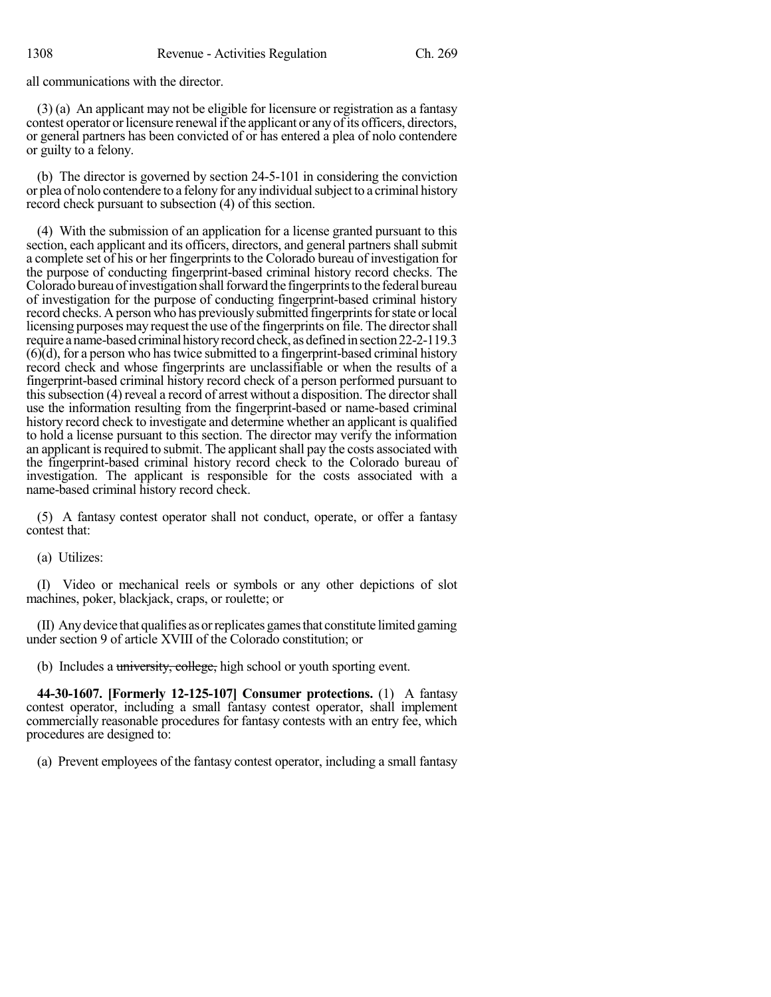all communications with the director.

(3) (a) An applicant may not be eligible for licensure or registration as a fantasy contest operator or licensure renewal if the applicant or any of its officers, directors, or general partners has been convicted of or has entered a plea of nolo contendere or guilty to a felony.

(b) The director is governed by section 24-5-101 in considering the conviction or plea of nolo contendere to a felony for any individual subject to a criminal history record check pursuant to subsection (4) of this section.

(4) With the submission of an application for a license granted pursuant to this section, each applicant and its officers, directors, and general partners shall submit a complete set of his or her fingerprints to the Colorado bureau of investigation for the purpose of conducting fingerprint-based criminal history record checks. The Colorado bureau of investigation shall forward the fingerprints to the federal bureau of investigation for the purpose of conducting fingerprint-based criminal history record checks. A person who has previously submitted fingerprints for state or local licensing purposes may request the use of the fingerprints on file. The directorshall require a name-based criminal history record check, as defined in section 22-2-119.3  $(6)$  $(d)$ , for a person who has twice submitted to a fingerprint-based criminal history record check and whose fingerprints are unclassifiable or when the results of a fingerprint-based criminal history record check of a person performed pursuant to thissubsection (4) reveal a record of arrest without a disposition. The directorshall use the information resulting from the fingerprint-based or name-based criminal history record check to investigate and determine whether an applicant is qualified to hold a license pursuant to this section. The director may verify the information an applicant is required to submit. The applicant shall pay the costs associated with the fingerprint-based criminal history record check to the Colorado bureau of investigation. The applicant is responsible for the costs associated with a name-based criminal history record check.

(5) A fantasy contest operator shall not conduct, operate, or offer a fantasy contest that:

(a) Utilizes:

(I) Video or mechanical reels or symbols or any other depictions of slot machines, poker, blackjack, craps, or roulette; or

(II) Anydevice that qualifies asorreplicates gamesthat constitute limited gaming under section 9 of article XVIII of the Colorado constitution; or

(b) Includes a university, college, high school or youth sporting event.

**44-30-1607. [Formerly 12-125-107] Consumer protections.** (1) A fantasy contest operator, including a small fantasy contest operator, shall implement commercially reasonable procedures for fantasy contests with an entry fee, which procedures are designed to:

(a) Prevent employees of the fantasy contest operator, including a small fantasy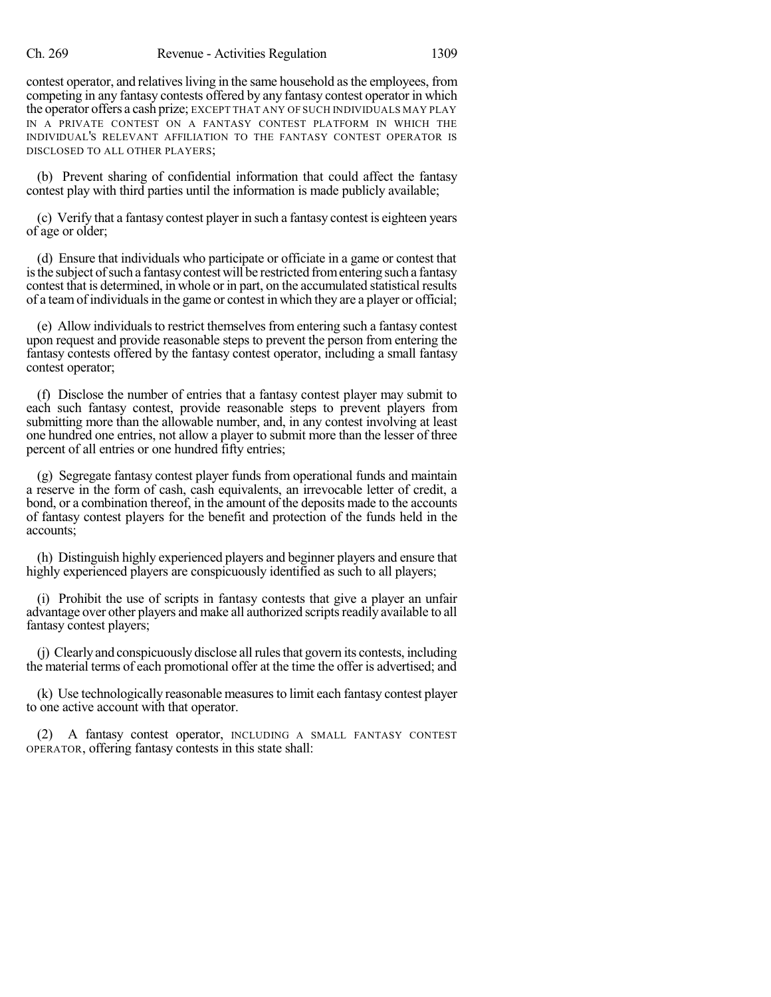contest operator, and relatives living in the same household as the employees, from competing in any fantasy contests offered by any fantasy contest operator in which the operator offers a cash prize; EXCEPT THAT ANY OF SUCH INDIVIDUALS MAY PLAY IN A PRIVATE CONTEST ON A FANTASY CONTEST PLATFORM IN WHICH THE INDIVIDUAL'S RELEVANT AFFILIATION TO THE FANTASY CONTEST OPERATOR IS DISCLOSED TO ALL OTHER PLAYERS;

(b) Prevent sharing of confidential information that could affect the fantasy contest play with third parties until the information is made publicly available;

(c) Verify that a fantasy contest player in such a fantasy contest is eighteen years of age or older;

(d) Ensure that individuals who participate or officiate in a game or contest that is the subject of such a fantasy contest will be restricted from entering such a fantasy contest that is determined, in whole or in part, on the accumulated statistical results of a teamof individualsin the game or contest in which they are a player or official;

(e) Allow individuals to restrict themselves from entering such a fantasy contest upon request and provide reasonable steps to prevent the person from entering the fantasy contests offered by the fantasy contest operator, including a small fantasy contest operator;

(f) Disclose the number of entries that a fantasy contest player may submit to each such fantasy contest, provide reasonable steps to prevent players from submitting more than the allowable number, and, in any contest involving at least one hundred one entries, not allow a player to submit more than the lesser of three percent of all entries or one hundred fifty entries;

(g) Segregate fantasy contest player funds from operational funds and maintain a reserve in the form of cash, cash equivalents, an irrevocable letter of credit, a bond, or a combination thereof, in the amount of the deposits made to the accounts of fantasy contest players for the benefit and protection of the funds held in the accounts;

(h) Distinguish highly experienced players and beginner players and ensure that highly experienced players are conspicuously identified as such to all players;

(i) Prohibit the use of scripts in fantasy contests that give a player an unfair advantage over other players and make all authorized scripts readily available to all fantasy contest players;

(j) Clearlyand conspicuously disclose allrulesthat govern its contests, including the material terms of each promotional offer at the time the offer is advertised; and

(k) Use technologically reasonable measuresto limit each fantasy contest player to one active account with that operator.

(2) A fantasy contest operator, INCLUDING A SMALL FANTASY CONTEST OPERATOR, offering fantasy contests in this state shall: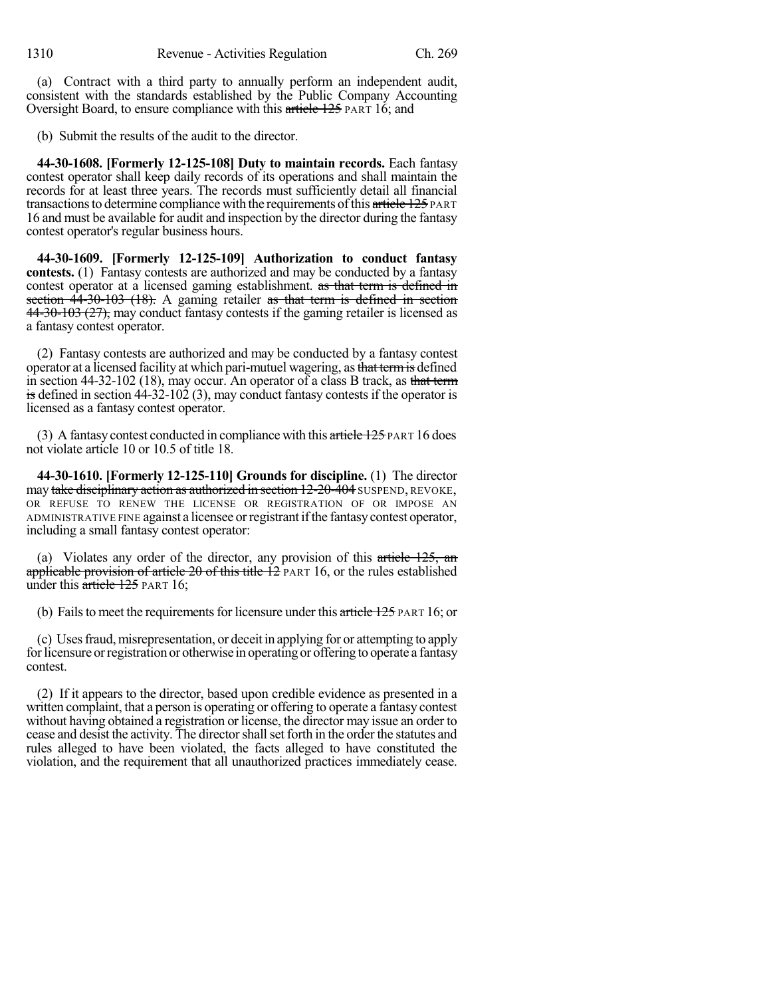(a) Contract with a third party to annually perform an independent audit, consistent with the standards established by the Public Company Accounting Oversight Board, to ensure compliance with this article 125 PART 16; and

(b) Submit the results of the audit to the director.

**44-30-1608. [Formerly 12-125-108] Duty to maintain records.** Each fantasy contest operator shall keep daily records of its operations and shall maintain the records for at least three years. The records must sufficiently detail all financial transactions to determine compliance with the requirements of this article 125 PART 16 and must be available for audit and inspection by the director during the fantasy contest operator's regular business hours.

**44-30-1609. [Formerly 12-125-109] Authorization to conduct fantasy contests.** (1) Fantasy contests are authorized and may be conducted by a fantasy contest operator at a licensed gaming establishment. as that term is defined in section  $44-30-103$  (18). A gaming retailer as that term is defined in section 44-30-103 (27), may conduct fantasy contests if the gaming retailer is licensed as a fantasy contest operator.

(2) Fantasy contests are authorized and may be conducted by a fantasy contest operator at a licensed facility at which pari-mutuel wagering, as that term is defined in section 44-32-102 (18), may occur. An operator of a class B track, as that term is defined in section 44-32-102 (3), may conduct fantasy contests if the operator is licensed as a fantasy contest operator.

(3) A fantasy contest conducted in compliance with this  $\frac{\text{article }125 \text{ PART}}{16 \text{ does}}$ not violate article 10 or 10.5 of title 18.

**44-30-1610. [Formerly 12-125-110] Grounds for discipline.** (1) The director may take disciplinary action as authorized in section  $12-20-404$  SUSPEND, REVOKE, OR REFUSE TO RENEW THE LICENSE OR REGISTRATION OF OR IMPOSE AN ADMINISTRATIVE FINE against a licensee orregistrant ifthe fantasycontest operator, including a small fantasy contest operator:

(a) Violates any order of the director, any provision of this article  $125$ , and applicable provision of article 20 of this title 12 PART 16, or the rules established under this article 125 PART 16;

(b) Fails to meet the requirements for licensure under this article  $125$  PART 16; or

(c) Usesfraud,misrepresentation, or deceit in applying for or attempting to apply for licensure or registration or otherwise in operating or offering to operate a fantasy contest.

(2) If it appears to the director, based upon credible evidence as presented in a written complaint, that a person is operating or offering to operate a fantasy contest without having obtained a registration or license, the director may issue an order to cease and desist the activity. The directorshallset forth in the order the statutes and rules alleged to have been violated, the facts alleged to have constituted the violation, and the requirement that all unauthorized practices immediately cease.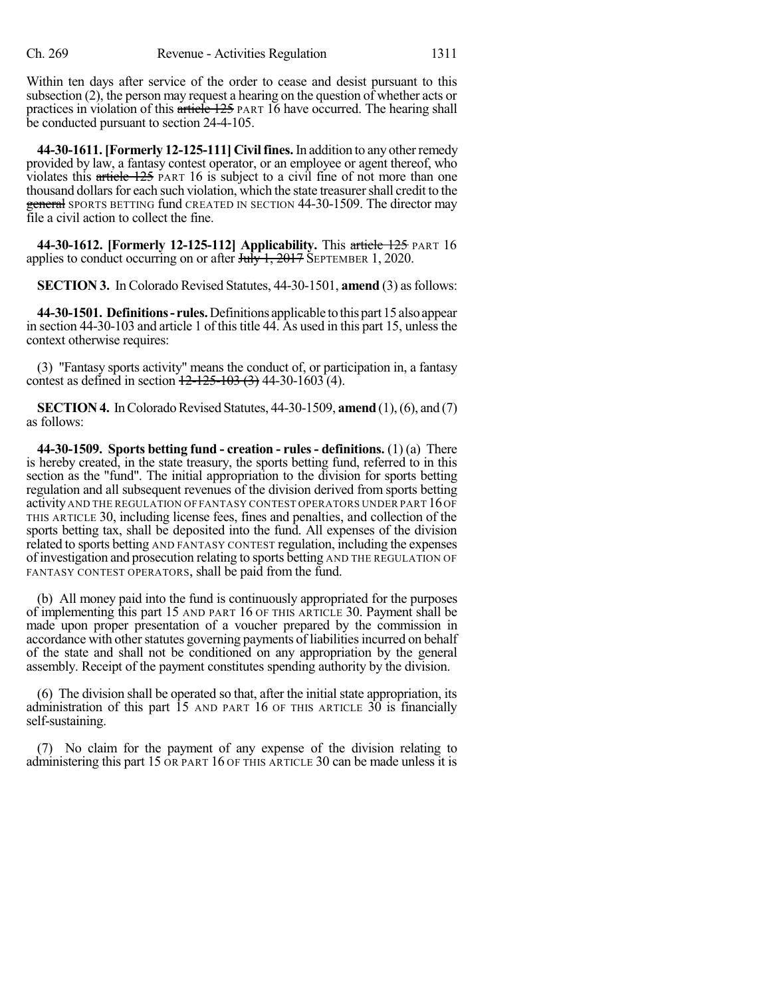Within ten days after service of the order to cease and desist pursuant to this subsection (2), the person may request a hearing on the question of whether acts or practices in violation of this article 125 PART 16 have occurred. The hearing shall be conducted pursuant to section 24-4-105.

**44-30-1611.[Formerly 12-125-111] Civilfines.**In addition to any otherremedy provided by law, a fantasy contest operator, or an employee or agent thereof, who violates this article 125 PART 16 is subject to a civil fine of not more than one thousand dollars for each such violation, which the state treasurer shall credit to the general SPORTS BETTING fund CREATED IN SECTION 44-30-1509. The director may file a civil action to collect the fine.

**44-30-1612. [Formerly 12-125-112] Applicability.** This article 125 PART 16 applies to conduct occurring on or after  $J_{\text{t}}/J_{\text{t}}$ ,  $2017$  SEPTEMBER 1, 2020.

**SECTION 3.** In Colorado Revised Statutes, 44-30-1501, **amend** (3) as follows:

**44-30-1501. Definitions- rules.**Definitions applicable tothispart15alsoappear in section 44-30-103 and article 1 of this title 44. As used in this part 15, unless the context otherwise requires:

(3) "Fantasy sports activity" means the conduct of, or participation in, a fantasy contest as defined in section  $12-125-103$  (3) 44-30-1603 (4).

**SECTION 4.** In Colorado Revised Statutes, 44-30-1509, **amend** (1), (6), and (7) as follows:

**44-30-1509. Sports betting fund - creation - rules- definitions.** (1) (a) There is hereby created, in the state treasury, the sports betting fund, referred to in this section as the "fund". The initial appropriation to the division for sports betting regulation and all subsequent revenues of the division derived from sports betting activity AND THE REGULATION OF FANTASY CONTEST OPERATORS UNDER PART 16OF THIS ARTICLE 30, including license fees, fines and penalties, and collection of the sports betting tax, shall be deposited into the fund. All expenses of the division related to sports betting AND FANTASY CONTEST regulation, including the expenses of investigation and prosecution relating to sports betting AND THE REGULATION OF FANTASY CONTEST OPERATORS, shall be paid from the fund.

(b) All money paid into the fund is continuously appropriated for the purposes of implementing this part 15 AND PART 16 OF THIS ARTICLE 30. Payment shall be made upon proper presentation of a voucher prepared by the commission in accordance with other statutes governing payments of liabilities incurred on behalf of the state and shall not be conditioned on any appropriation by the general assembly. Receipt of the payment constitutes spending authority by the division.

(6) The division shall be operated so that, after the initial state appropriation, its administration of this part 15 AND PART 16 OF THIS ARTICLE 30 is financially self-sustaining.

(7) No claim for the payment of any expense of the division relating to administering this part 15 OR PART 16 OF THIS ARTICLE 30 can be made unless it is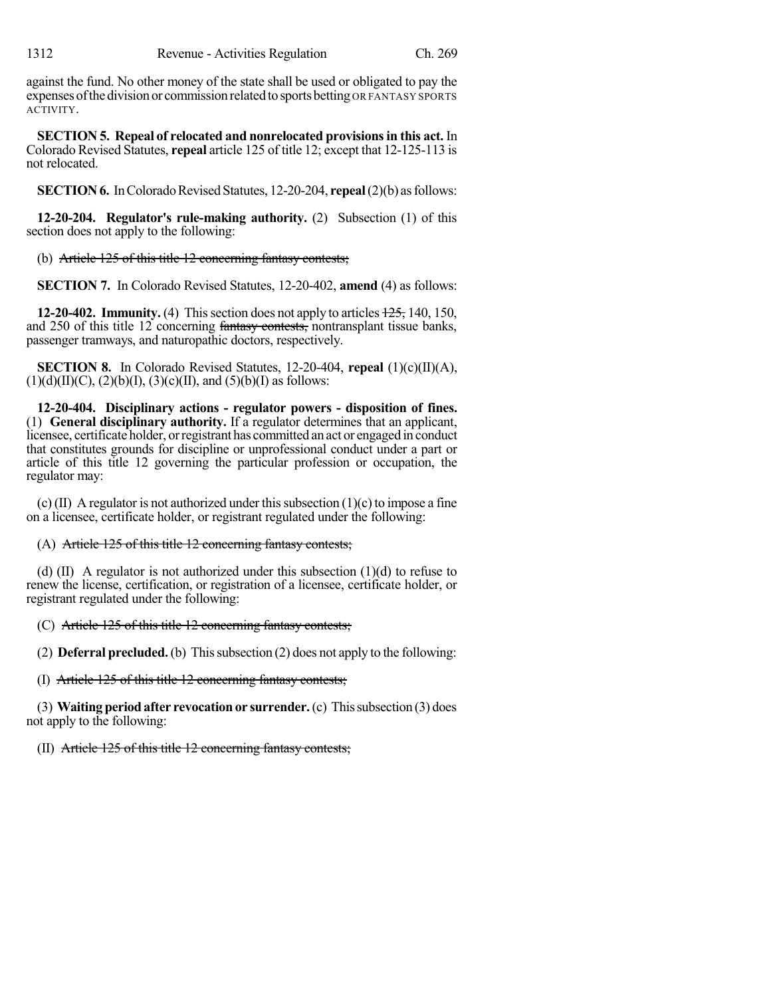against the fund. No other money of the state shall be used or obligated to pay the expenses of the division or commission related to sports betting OR FANTASY SPORTS ACTIVITY.

**SECTION 5. Repeal of relocated and nonrelocated provisionsin this act.** In Colorado Revised Statutes, **repeal** article 125 of title 12; except that 12-125-113 is not relocated.

**SECTION 6.** In Colorado Revised Statutes, 12-20-204, **repeal** (2)(b) as follows:

**12-20-204. Regulator's rule-making authority.** (2) Subsection (1) of this section does not apply to the following:

(b) Article 125 of this title 12 concerning fantasy contests;

**SECTION 7.** In Colorado Revised Statutes, 12-20-402, **amend** (4) as follows:

**12-20-402. Immunity.** (4) This section does not apply to articles  $\frac{125}{125}$ , 140, 150, and 250 of this title 12 concerning fantasy contests, nontransplant tissue banks, passenger tramways, and naturopathic doctors, respectively.

**SECTION 8.** In Colorado Revised Statutes, 12-20-404, **repeal** (1)(c)(II)(A),  $(1)(d)(II)(C), (2)(b)(I), (3)(c)(II), and (5)(b)(I)$  as follows:

**12-20-404. Disciplinary actions - regulator powers - disposition of fines.** (1) **General disciplinary authority.** If a regulator determines that an applicant, licensee, certificate holder, orregistrant has committed an act or engaged in conduct that constitutes grounds for discipline or unprofessional conduct under a part or article of this title 12 governing the particular profession or occupation, the regulator may:

(c) (II) A regulator is not authorized under this subsection  $(1)(c)$  to impose a fine on a licensee, certificate holder, or registrant regulated under the following:

## (A) Article 125 of this title 12 concerning fantasy contests;

(d)  $(II)$  A regulator is not authorized under this subsection  $(1)(d)$  to refuse to renew the license, certification, or registration of a licensee, certificate holder, or registrant regulated under the following:

(C) Article 125 of this title 12 concerning fantasy contests;

(2) **Deferral precluded.**(b) Thissubsection (2) does not apply to the following:

(I) Article 125 of this title 12 concerning fantasy contests;

(3) **Waiting periodafter revocationor surrender.**(c) Thissubsection (3) does not apply to the following:

(II) Article 125 of this title 12 concerning fantasy contests;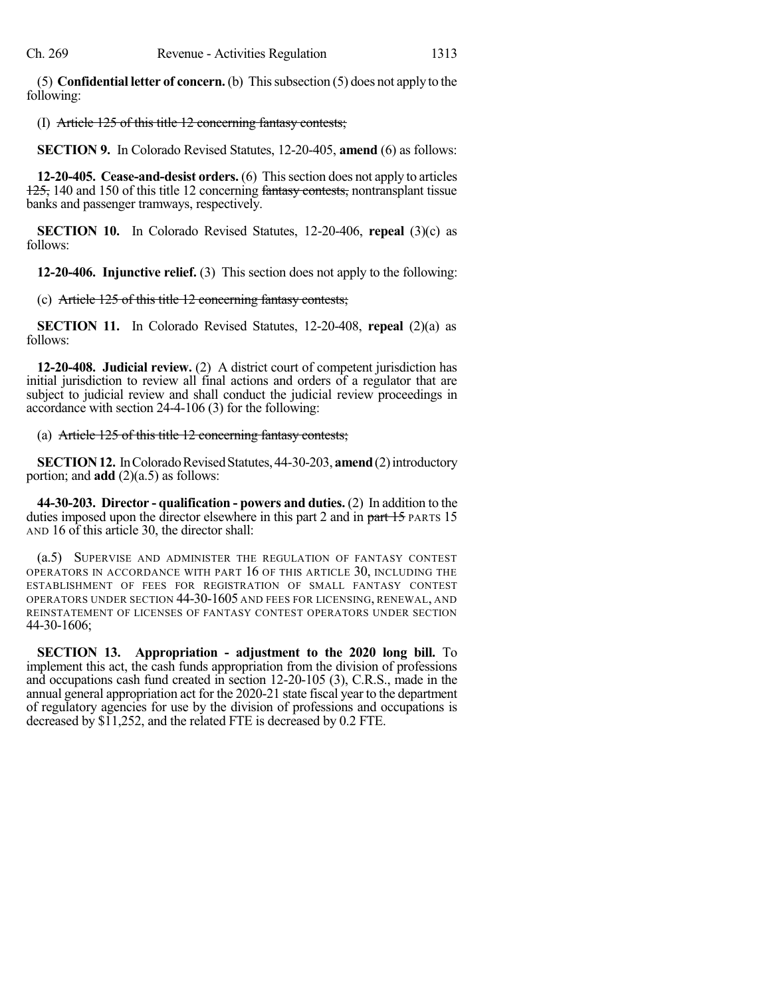(5) **Confidential letter of concern.** (b) Thissubsection (5) does not apply to the following:

## (I) Article 125 of this title 12 concerning fantasy contests;

**SECTION 9.** In Colorado Revised Statutes, 12-20-405, **amend** (6) as follows:

**12-20-405. Cease-and-desist orders.** (6) Thissection does not apply to articles 125, 140 and 150 of this title 12 concerning fantasy contests, nontransplant tissue banks and passenger tramways, respectively.

**SECTION 10.** In Colorado Revised Statutes, 12-20-406, **repeal** (3)(c) as follows:

**12-20-406. Injunctive relief.** (3) This section does not apply to the following:

(c) Article 125 of this title 12 concerning fantasy contests;

**SECTION 11.** In Colorado Revised Statutes, 12-20-408, **repeal** (2)(a) as follows:

**12-20-408. Judicial review.** (2) A district court of competent jurisdiction has initial jurisdiction to review all final actions and orders of a regulator that are subject to judicial review and shall conduct the judicial review proceedings in accordance with section 24-4-106 (3) for the following:

(a) Article 125 of this title 12 concerning fantasy contests;

**SECTION 12.** In Colorado Revised Statutes, 44-30-203, **amend** (2) introductory portion; and **add** (2)(a.5) as follows:

**44-30-203. Director - qualification - powers and duties.** (2) In addition to the duties imposed upon the director elsewhere in this part 2 and in part 15 PARTS 15 AND 16 of this article 30, the director shall:

(a.5) SUPERVISE AND ADMINISTER THE REGULATION OF FANTASY CONTEST OPERATORS IN ACCORDANCE WITH PART 16 OF THIS ARTICLE 30, INCLUDING THE ESTABLISHMENT OF FEES FOR REGISTRATION OF SMALL FANTASY CONTEST OPERATORS UNDER SECTION 44-30-1605 AND FEES FOR LICENSING, RENEWAL, AND REINSTATEMENT OF LICENSES OF FANTASY CONTEST OPERATORS UNDER SECTION 44-30-1606;

**SECTION 13. Appropriation - adjustment to the 2020 long bill.** To implement this act, the cash funds appropriation from the division of professions and occupations cash fund created in section 12-20-105 (3), C.R.S., made in the annual general appropriation act for the 2020-21 state fiscal year to the department of regulatory agencies for use by the division of professions and occupations is decreased by \$11,252, and the related FTE is decreased by 0.2 FTE.